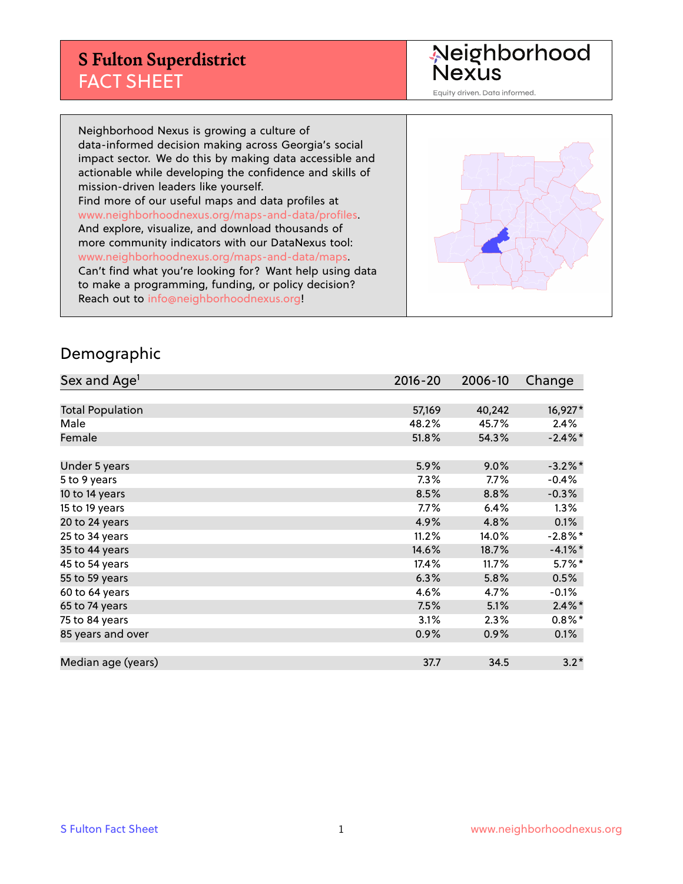## **S Fulton Superdistrict** FACT SHEET

Neighborhood<br>Nexus

Equity driven. Data informed.

Neighborhood Nexus is growing a culture of data-informed decision making across Georgia's social impact sector. We do this by making data accessible and actionable while developing the confidence and skills of mission-driven leaders like yourself. Find more of our useful maps and data profiles at www.neighborhoodnexus.org/maps-and-data/profiles. And explore, visualize, and download thousands of more community indicators with our DataNexus tool: www.neighborhoodnexus.org/maps-and-data/maps. Can't find what you're looking for? Want help using data to make a programming, funding, or policy decision? Reach out to [info@neighborhoodnexus.org!](mailto:info@neighborhoodnexus.org)



#### Demographic

| Sex and Age <sup>1</sup> | $2016 - 20$ | 2006-10 | Change     |
|--------------------------|-------------|---------|------------|
|                          |             |         |            |
| <b>Total Population</b>  | 57,169      | 40,242  | 16,927*    |
| Male                     | 48.2%       | 45.7%   | 2.4%       |
| Female                   | 51.8%       | 54.3%   | $-2.4\%$ * |
|                          |             |         |            |
| Under 5 years            | 5.9%        | 9.0%    | $-3.2\%$ * |
| 5 to 9 years             | 7.3%        | 7.7%    | $-0.4%$    |
| 10 to 14 years           | 8.5%        | 8.8%    | $-0.3%$    |
| 15 to 19 years           | 7.7%        | 6.4%    | 1.3%       |
| 20 to 24 years           | 4.9%        | 4.8%    | 0.1%       |
| 25 to 34 years           | 11.2%       | 14.0%   | $-2.8\%$ * |
| 35 to 44 years           | 14.6%       | 18.7%   | $-4.1%$ *  |
| 45 to 54 years           | 17.4%       | 11.7%   | $5.7\%$ *  |
| 55 to 59 years           | 6.3%        | 5.8%    | 0.5%       |
| 60 to 64 years           | 4.6%        | 4.7%    | $-0.1\%$   |
| 65 to 74 years           | 7.5%        | 5.1%    | $2.4\%$ *  |
| 75 to 84 years           | 3.1%        | 2.3%    | $0.8\%$ *  |
| 85 years and over        | 0.9%        | 0.9%    | 0.1%       |
|                          |             |         |            |
| Median age (years)       | 37.7        | 34.5    | $3.2*$     |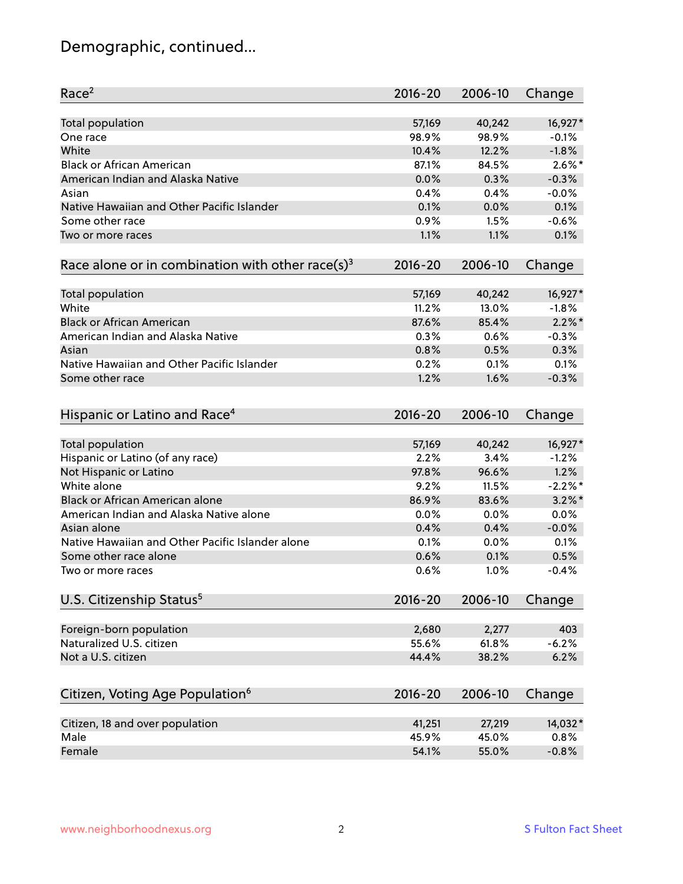# Demographic, continued...

| Race <sup>2</sup>                                            | $2016 - 20$ | 2006-10        | Change     |
|--------------------------------------------------------------|-------------|----------------|------------|
| <b>Total population</b>                                      | 57,169      | 40,242         | 16,927*    |
| One race                                                     | 98.9%       | 98.9%          | $-0.1%$    |
| White                                                        | 10.4%       | 12.2%          | $-1.8%$    |
| <b>Black or African American</b>                             | 87.1%       | 84.5%          | $2.6\%$ *  |
| American Indian and Alaska Native                            | 0.0%        | 0.3%           | $-0.3%$    |
| Asian                                                        | 0.4%        | 0.4%           | $-0.0%$    |
| Native Hawaiian and Other Pacific Islander                   | 0.1%        | 0.0%           | 0.1%       |
| Some other race                                              | 0.9%        | 1.5%           | $-0.6%$    |
| Two or more races                                            | 1.1%        | 1.1%           | 0.1%       |
| Race alone or in combination with other race(s) <sup>3</sup> | $2016 - 20$ | 2006-10        | Change     |
|                                                              |             |                |            |
| <b>Total population</b>                                      | 57,169      | 40,242         | 16,927*    |
| White                                                        | 11.2%       | 13.0%          | $-1.8%$    |
| <b>Black or African American</b>                             | 87.6%       | 85.4%          | $2.2\%$ *  |
| American Indian and Alaska Native                            | 0.3%        | 0.6%           | $-0.3%$    |
| Asian                                                        | 0.8%        | 0.5%           | 0.3%       |
| Native Hawaiian and Other Pacific Islander                   | 0.2%        | 0.1%           | 0.1%       |
| Some other race                                              | 1.2%        | 1.6%           | $-0.3%$    |
|                                                              |             |                |            |
| Hispanic or Latino and Race <sup>4</sup>                     | $2016 - 20$ | 2006-10        | Change     |
|                                                              |             |                |            |
| <b>Total population</b>                                      | 57,169      | 40,242         | 16,927*    |
| Hispanic or Latino (of any race)                             | 2.2%        | 3.4%           | $-1.2%$    |
| Not Hispanic or Latino                                       | 97.8%       | 96.6%          | 1.2%       |
| White alone                                                  | 9.2%        | 11.5%          | $-2.2\%$ * |
| Black or African American alone                              | 86.9%       | 83.6%          | $3.2\%$ *  |
| American Indian and Alaska Native alone                      | 0.0%        | 0.0%           | 0.0%       |
| Asian alone                                                  | 0.4%        | 0.4%           | $-0.0%$    |
| Native Hawaiian and Other Pacific Islander alone             | 0.1%        | 0.0%           | 0.1%       |
| Some other race alone                                        | 0.6%        | 0.1%           | 0.5%       |
| Two or more races                                            | 0.6%        | 1.0%           | $-0.4%$    |
| U.S. Citizenship Status <sup>5</sup>                         | $2016 - 20$ | 2006-10        | Change     |
|                                                              | 2,680       |                | 403        |
| Foreign-born population<br>Naturalized U.S. citizen          | 55.6%       | 2,277<br>61.8% | $-6.2%$    |
| Not a U.S. citizen                                           | 44.4%       | 38.2%          | 6.2%       |
|                                                              |             |                |            |
| Citizen, Voting Age Population <sup>6</sup>                  | $2016 - 20$ | 2006-10        | Change     |
| Citizen, 18 and over population                              | 41,251      | 27,219         | 14,032*    |
| Male                                                         | 45.9%       | 45.0%          | 0.8%       |
| Female                                                       | 54.1%       | 55.0%          | $-0.8%$    |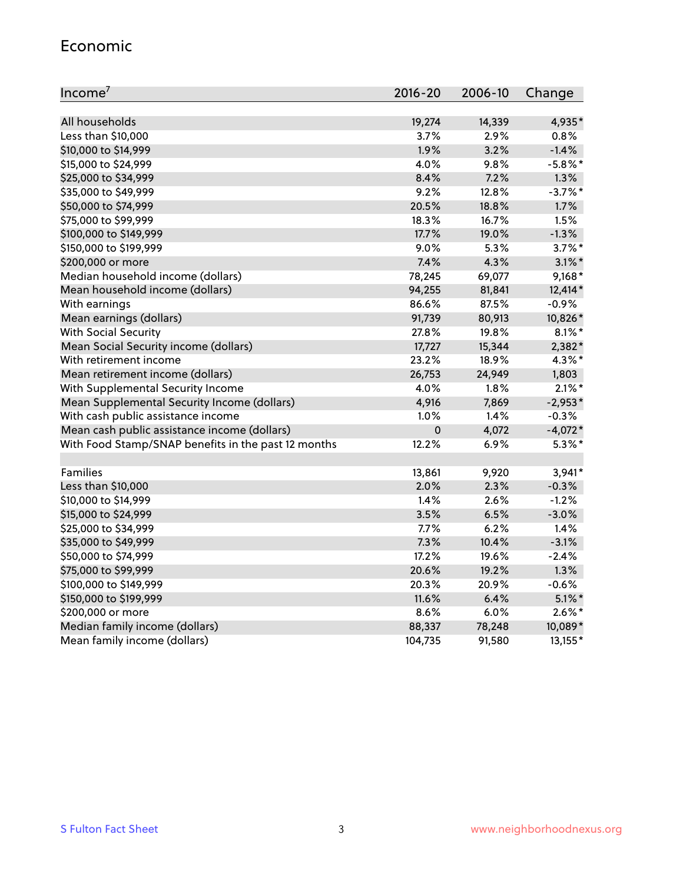#### Economic

| Income <sup>7</sup>                                 | $2016 - 20$ | 2006-10 | Change     |
|-----------------------------------------------------|-------------|---------|------------|
|                                                     |             |         |            |
| All households                                      | 19,274      | 14,339  | 4,935*     |
| Less than \$10,000                                  | $3.7\%$     | 2.9%    | 0.8%       |
| \$10,000 to \$14,999                                | 1.9%        | 3.2%    | $-1.4%$    |
| \$15,000 to \$24,999                                | 4.0%        | 9.8%    | $-5.8\%$ * |
| \$25,000 to \$34,999                                | 8.4%        | 7.2%    | 1.3%       |
| \$35,000 to \$49,999                                | 9.2%        | 12.8%   | $-3.7%$ *  |
| \$50,000 to \$74,999                                | 20.5%       | 18.8%   | 1.7%       |
| \$75,000 to \$99,999                                | 18.3%       | 16.7%   | 1.5%       |
| \$100,000 to \$149,999                              | 17.7%       | 19.0%   | $-1.3%$    |
| \$150,000 to \$199,999                              | 9.0%        | 5.3%    | $3.7\%$ *  |
| \$200,000 or more                                   | 7.4%        | 4.3%    | $3.1\%$ *  |
| Median household income (dollars)                   | 78,245      | 69,077  | $9,168*$   |
| Mean household income (dollars)                     | 94,255      | 81,841  | 12,414*    |
| With earnings                                       | 86.6%       | 87.5%   | $-0.9%$    |
| Mean earnings (dollars)                             | 91,739      | 80,913  | 10,826*    |
| <b>With Social Security</b>                         | 27.8%       | 19.8%   | $8.1\%$ *  |
| Mean Social Security income (dollars)               | 17,727      | 15,344  | 2,382*     |
| With retirement income                              | 23.2%       | 18.9%   | 4.3%*      |
| Mean retirement income (dollars)                    | 26,753      | 24,949  | 1,803      |
| With Supplemental Security Income                   | 4.0%        | $1.8\%$ | $2.1\%$ *  |
| Mean Supplemental Security Income (dollars)         | 4,916       | 7,869   | $-2,953*$  |
| With cash public assistance income                  | 1.0%        | 1.4%    | $-0.3%$    |
| Mean cash public assistance income (dollars)        | $\pmb{0}$   | 4,072   | $-4,072*$  |
| With Food Stamp/SNAP benefits in the past 12 months | 12.2%       | 6.9%    | $5.3\%$ *  |
|                                                     |             |         |            |
| Families                                            | 13,861      | 9,920   | $3,941*$   |
| Less than \$10,000                                  | $2.0\%$     | 2.3%    | $-0.3%$    |
| \$10,000 to \$14,999                                | 1.4%        | 2.6%    | $-1.2%$    |
| \$15,000 to \$24,999                                | 3.5%        | 6.5%    | $-3.0%$    |
| \$25,000 to \$34,999                                | 7.7%        | 6.2%    | 1.4%       |
| \$35,000 to \$49,999                                | 7.3%        | 10.4%   | $-3.1%$    |
| \$50,000 to \$74,999                                | 17.2%       | 19.6%   | $-2.4%$    |
| \$75,000 to \$99,999                                | 20.6%       | 19.2%   | 1.3%       |
| \$100,000 to \$149,999                              | 20.3%       | 20.9%   | $-0.6%$    |
| \$150,000 to \$199,999                              | 11.6%       | 6.4%    | $5.1\%$ *  |
| \$200,000 or more                                   | 8.6%        | 6.0%    | $2.6\%$ *  |
| Median family income (dollars)                      | 88,337      | 78,248  | 10,089*    |
| Mean family income (dollars)                        | 104,735     | 91,580  | 13,155*    |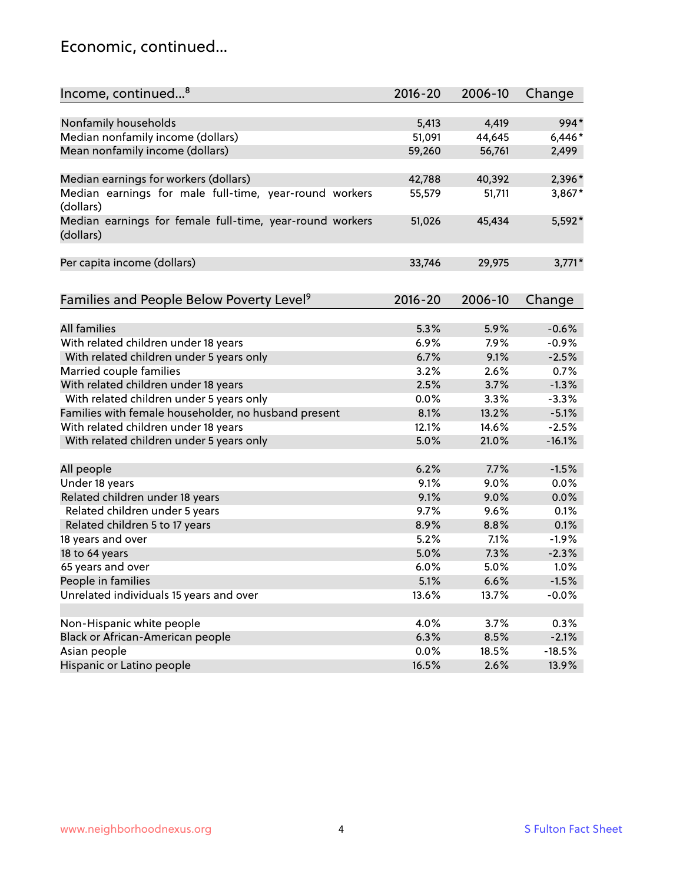#### Economic, continued...

| Income, continued <sup>8</sup>                                        | $2016 - 20$ | 2006-10 | Change   |
|-----------------------------------------------------------------------|-------------|---------|----------|
|                                                                       |             |         |          |
| Nonfamily households                                                  | 5,413       | 4,419   | 994*     |
| Median nonfamily income (dollars)                                     | 51,091      | 44,645  | $6,446*$ |
| Mean nonfamily income (dollars)                                       | 59,260      | 56,761  | 2,499    |
| Median earnings for workers (dollars)                                 | 42,788      | 40,392  | 2,396*   |
| Median earnings for male full-time, year-round workers                | 55,579      | 51,711  | 3,867*   |
| (dollars)                                                             |             |         |          |
| Median earnings for female full-time, year-round workers<br>(dollars) | 51,026      | 45,434  | 5,592*   |
| Per capita income (dollars)                                           | 33,746      | 29,975  | $3,771*$ |
|                                                                       |             |         |          |
| Families and People Below Poverty Level <sup>9</sup>                  | $2016 - 20$ | 2006-10 | Change   |
|                                                                       |             |         |          |
| <b>All families</b>                                                   | 5.3%        | 5.9%    | $-0.6%$  |
| With related children under 18 years                                  | 6.9%        | 7.9%    | $-0.9%$  |
| With related children under 5 years only                              | 6.7%        | 9.1%    | $-2.5%$  |
| Married couple families                                               | 3.2%        | 2.6%    | 0.7%     |
| With related children under 18 years                                  | 2.5%        | 3.7%    | $-1.3%$  |
| With related children under 5 years only                              | 0.0%        | 3.3%    | $-3.3%$  |
| Families with female householder, no husband present                  | 8.1%        | 13.2%   | $-5.1%$  |
| With related children under 18 years                                  | 12.1%       | 14.6%   | $-2.5%$  |
| With related children under 5 years only                              | 5.0%        | 21.0%   | $-16.1%$ |
| All people                                                            | 6.2%        | 7.7%    | $-1.5%$  |
| Under 18 years                                                        | 9.1%        | 9.0%    | 0.0%     |
| Related children under 18 years                                       | 9.1%        | 9.0%    | 0.0%     |
| Related children under 5 years                                        | 9.7%        | 9.6%    | 0.1%     |
| Related children 5 to 17 years                                        | 8.9%        | 8.8%    | 0.1%     |
| 18 years and over                                                     | 5.2%        | 7.1%    | $-1.9%$  |
| 18 to 64 years                                                        | 5.0%        | 7.3%    | $-2.3%$  |
| 65 years and over                                                     | 6.0%        | 5.0%    | 1.0%     |
| People in families                                                    | 5.1%        | 6.6%    | $-1.5%$  |
| Unrelated individuals 15 years and over                               | 13.6%       | 13.7%   | $-0.0%$  |
|                                                                       |             |         |          |
| Non-Hispanic white people                                             | 4.0%        | 3.7%    | 0.3%     |
| Black or African-American people                                      | 6.3%        | 8.5%    | $-2.1%$  |
| Asian people                                                          | $0.0\%$     | 18.5%   | $-18.5%$ |
| Hispanic or Latino people                                             | 16.5%       | 2.6%    | 13.9%    |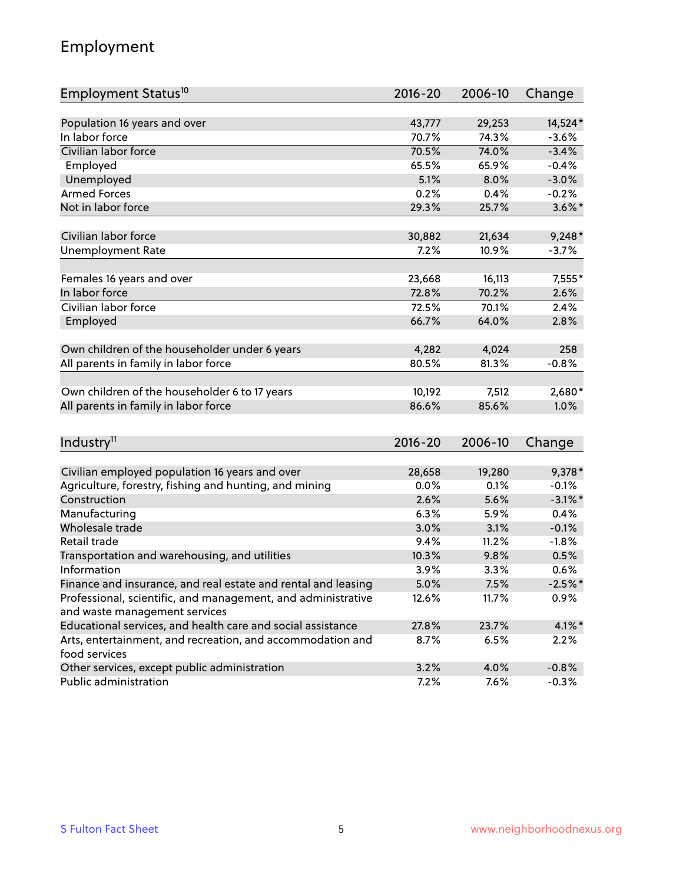## Employment

| Employment Status <sup>10</sup>                               | $2016 - 20$ | 2006-10 | Change     |
|---------------------------------------------------------------|-------------|---------|------------|
|                                                               |             |         |            |
| Population 16 years and over<br>In labor force                | 43,777      | 29,253  | 14,524*    |
| Civilian labor force                                          | 70.7%       | 74.3%   | $-3.6%$    |
|                                                               | 70.5%       | 74.0%   | $-3.4%$    |
| Employed                                                      | 65.5%       | 65.9%   | $-0.4%$    |
| Unemployed                                                    | 5.1%        | 8.0%    | $-3.0%$    |
| <b>Armed Forces</b>                                           | 0.2%        | 0.4%    | $-0.2%$    |
| Not in labor force                                            | 29.3%       | 25.7%   | $3.6\%$ *  |
| Civilian labor force                                          | 30,882      | 21,634  | $9,248*$   |
| <b>Unemployment Rate</b>                                      | 7.2%        | 10.9%   | $-3.7%$    |
|                                                               |             |         |            |
| Females 16 years and over                                     | 23,668      | 16,113  | 7,555*     |
| In labor force                                                | 72.8%       | 70.2%   | 2.6%       |
| Civilian labor force                                          | 72.5%       | 70.1%   | 2.4%       |
| Employed                                                      | 66.7%       | 64.0%   | 2.8%       |
|                                                               |             |         |            |
| Own children of the householder under 6 years                 | 4,282       | 4,024   | 258        |
| All parents in family in labor force                          | 80.5%       | 81.3%   | $-0.8%$    |
|                                                               |             |         |            |
| Own children of the householder 6 to 17 years                 | 10,192      | 7,512   | 2,680*     |
| All parents in family in labor force                          | 86.6%       | 85.6%   | 1.0%       |
|                                                               |             |         |            |
| Industry <sup>11</sup>                                        | $2016 - 20$ | 2006-10 | Change     |
|                                                               |             |         |            |
| Civilian employed population 16 years and over                | 28,658      | 19,280  | 9,378 *    |
| Agriculture, forestry, fishing and hunting, and mining        | 0.0%        | 0.1%    | $-0.1%$    |
| Construction                                                  | 2.6%        | 5.6%    | $-3.1\%$ * |
| Manufacturing                                                 | 6.3%        | 5.9%    | 0.4%       |
| Wholesale trade                                               | 3.0%        | 3.1%    | $-0.1%$    |
| Retail trade                                                  | 9.4%        | 11.2%   | $-1.8%$    |
| Transportation and warehousing, and utilities                 | 10.3%       | 9.8%    | 0.5%       |
| Information                                                   | 3.9%        | 3.3%    | 0.6%       |
| Finance and insurance, and real estate and rental and leasing | 5.0%        | 7.5%    | $-2.5%$ *  |
| Professional, scientific, and management, and administrative  | 12.6%       | 11.7%   | $0.9\%$    |
| and waste management services                                 |             |         |            |
| Educational services, and health care and social assistance   | 27.8%       | 23.7%   | $4.1\%$ *  |
| Arts, entertainment, and recreation, and accommodation and    | 8.7%        | 6.5%    | 2.2%       |
| food services                                                 |             |         |            |
| Other services, except public administration                  | 3.2%        | 4.0%    | $-0.8%$    |
| Public administration                                         | 7.2%        | 7.6%    | $-0.3%$    |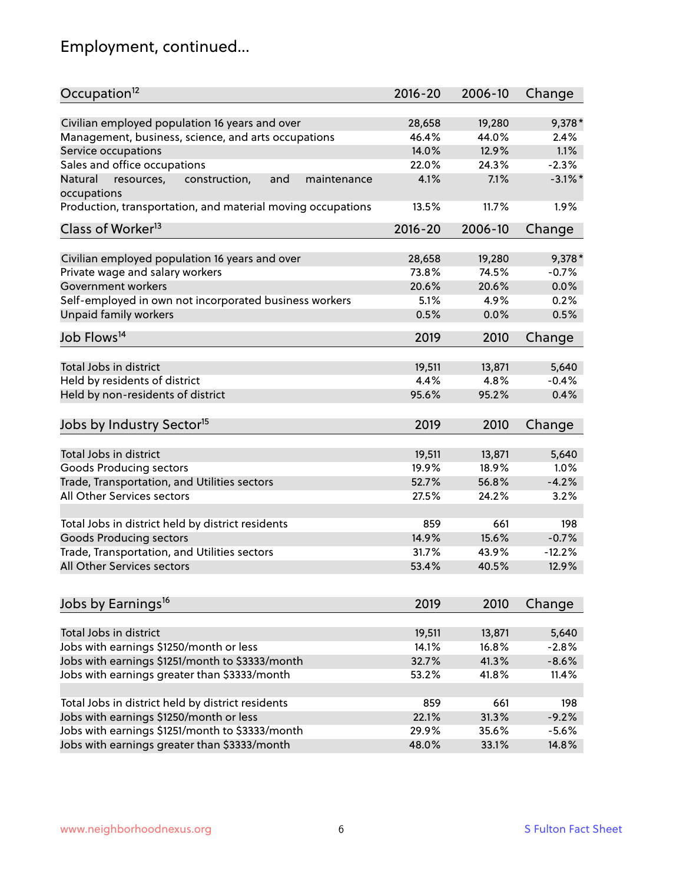# Employment, continued...

| Occupation <sup>12</sup>                                     | $2016 - 20$ | 2006-10 | Change     |
|--------------------------------------------------------------|-------------|---------|------------|
| Civilian employed population 16 years and over               | 28,658      | 19,280  | 9,378 *    |
| Management, business, science, and arts occupations          | 46.4%       | 44.0%   | 2.4%       |
| Service occupations                                          | 14.0%       | 12.9%   | 1.1%       |
| Sales and office occupations                                 | 22.0%       | 24.3%   | $-2.3%$    |
| and<br>Natural<br>resources,<br>construction,<br>maintenance | 4.1%        | 7.1%    | $-3.1\%$ * |
| occupations                                                  |             |         |            |
| Production, transportation, and material moving occupations  | 13.5%       | 11.7%   | 1.9%       |
| Class of Worker <sup>13</sup>                                | $2016 - 20$ | 2006-10 | Change     |
| Civilian employed population 16 years and over               | 28,658      | 19,280  | $9,378*$   |
| Private wage and salary workers                              | 73.8%       | 74.5%   | $-0.7%$    |
| Government workers                                           | 20.6%       | 20.6%   | 0.0%       |
| Self-employed in own not incorporated business workers       | 5.1%        | 4.9%    | 0.2%       |
| Unpaid family workers                                        | 0.5%        | 0.0%    | 0.5%       |
| Job Flows <sup>14</sup>                                      | 2019        | 2010    | Change     |
|                                                              |             |         |            |
| Total Jobs in district                                       | 19,511      | 13,871  | 5,640      |
| Held by residents of district                                | 4.4%        | 4.8%    | $-0.4%$    |
| Held by non-residents of district                            | 95.6%       | 95.2%   | 0.4%       |
| Jobs by Industry Sector <sup>15</sup>                        | 2019        | 2010    | Change     |
| Total Jobs in district                                       | 19,511      | 13,871  | 5,640      |
| Goods Producing sectors                                      | 19.9%       | 18.9%   | 1.0%       |
| Trade, Transportation, and Utilities sectors                 | 52.7%       | 56.8%   | $-4.2%$    |
| All Other Services sectors                                   | 27.5%       | 24.2%   | 3.2%       |
|                                                              |             |         |            |
| Total Jobs in district held by district residents            | 859         | 661     | 198        |
| <b>Goods Producing sectors</b>                               | 14.9%       | 15.6%   | $-0.7%$    |
| Trade, Transportation, and Utilities sectors                 | 31.7%       | 43.9%   | $-12.2%$   |
| All Other Services sectors                                   | 53.4%       | 40.5%   | 12.9%      |
|                                                              |             |         |            |
| Jobs by Earnings <sup>16</sup>                               | 2019        | 2010    | Change     |
| Total Jobs in district                                       | 19,511      | 13,871  | 5,640      |
| Jobs with earnings \$1250/month or less                      | 14.1%       | 16.8%   | $-2.8%$    |
| Jobs with earnings \$1251/month to \$3333/month              | 32.7%       | 41.3%   | $-8.6%$    |
| Jobs with earnings greater than \$3333/month                 | 53.2%       | 41.8%   | 11.4%      |
|                                                              |             |         |            |
| Total Jobs in district held by district residents            | 859         | 661     | 198        |
| Jobs with earnings \$1250/month or less                      | 22.1%       | 31.3%   | $-9.2%$    |
| Jobs with earnings \$1251/month to \$3333/month              | 29.9%       | 35.6%   | $-5.6%$    |
| Jobs with earnings greater than \$3333/month                 | 48.0%       | 33.1%   | 14.8%      |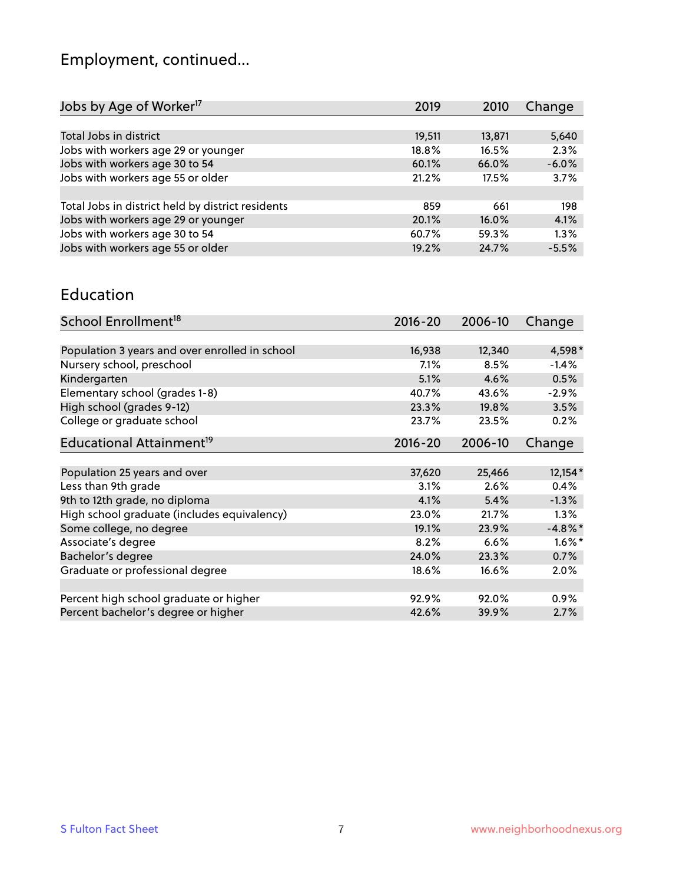# Employment, continued...

| Jobs by Age of Worker <sup>17</sup>               | 2019   | 2010   | Change  |
|---------------------------------------------------|--------|--------|---------|
|                                                   |        |        |         |
| Total Jobs in district                            | 19,511 | 13,871 | 5,640   |
| Jobs with workers age 29 or younger               | 18.8%  | 16.5%  | 2.3%    |
| Jobs with workers age 30 to 54                    | 60.1%  | 66.0%  | $-6.0%$ |
| Jobs with workers age 55 or older                 | 21.2%  | 17.5%  | 3.7%    |
|                                                   |        |        |         |
| Total Jobs in district held by district residents | 859    | 661    | 198     |
| Jobs with workers age 29 or younger               | 20.1%  | 16.0%  | 4.1%    |
| Jobs with workers age 30 to 54                    | 60.7%  | 59.3%  | 1.3%    |
| Jobs with workers age 55 or older                 | 19.2%  | 24.7%  | $-5.5%$ |
|                                                   |        |        |         |

#### Education

| School Enrollment <sup>18</sup>                | $2016 - 20$ | 2006-10 | Change     |
|------------------------------------------------|-------------|---------|------------|
|                                                |             |         |            |
| Population 3 years and over enrolled in school | 16,938      | 12,340  | 4,598*     |
| Nursery school, preschool                      | 7.1%        | 8.5%    | $-1.4%$    |
| Kindergarten                                   | 5.1%        | 4.6%    | 0.5%       |
| Elementary school (grades 1-8)                 | 40.7%       | 43.6%   | $-2.9%$    |
| High school (grades 9-12)                      | 23.3%       | 19.8%   | 3.5%       |
| College or graduate school                     | 23.7%       | 23.5%   | 0.2%       |
| Educational Attainment <sup>19</sup>           | $2016 - 20$ | 2006-10 | Change     |
|                                                |             |         |            |
| Population 25 years and over                   | 37,620      | 25,466  | 12,154*    |
| Less than 9th grade                            | 3.1%        | 2.6%    | 0.4%       |
| 9th to 12th grade, no diploma                  | 4.1%        | 5.4%    | $-1.3%$    |
| High school graduate (includes equivalency)    | 23.0%       | 21.7%   | 1.3%       |
| Some college, no degree                        | 19.1%       | 23.9%   | $-4.8\%$ * |
| Associate's degree                             | 8.2%        | 6.6%    | $1.6\%$ *  |
| Bachelor's degree                              | 24.0%       | 23.3%   | 0.7%       |
| Graduate or professional degree                | 18.6%       | 16.6%   | $2.0\%$    |
|                                                |             |         |            |
| Percent high school graduate or higher         | 92.9%       | 92.0%   | $0.9\%$    |
| Percent bachelor's degree or higher            | 42.6%       | 39.9%   | 2.7%       |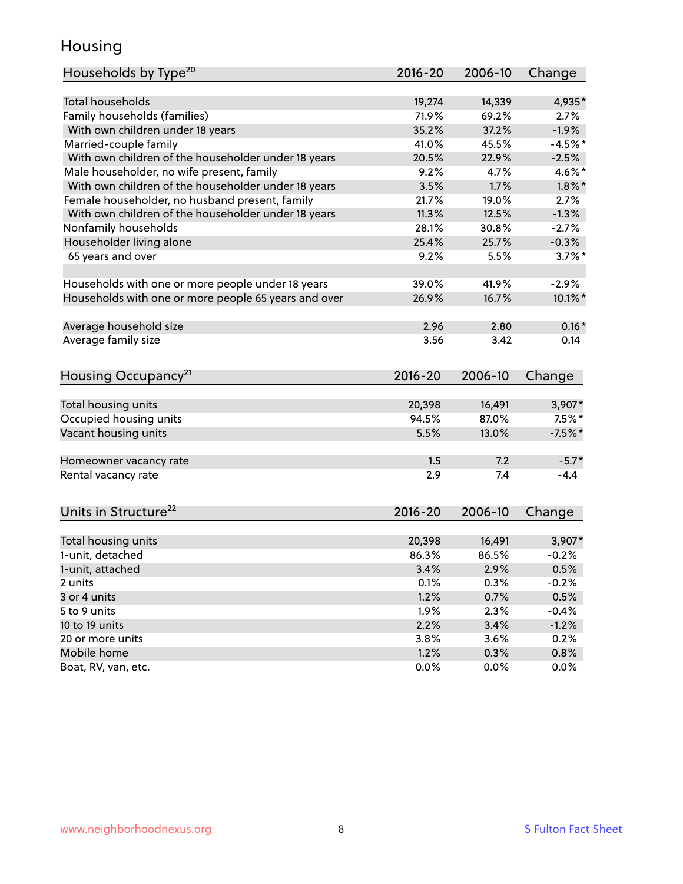## Housing

| Households by Type <sup>20</sup>                     | 2016-20         | 2006-10         | Change              |
|------------------------------------------------------|-----------------|-----------------|---------------------|
|                                                      |                 |                 |                     |
| <b>Total households</b>                              | 19,274          | 14,339          | 4,935*              |
| Family households (families)                         | 71.9%           | 69.2%           | 2.7%                |
| With own children under 18 years                     | 35.2%           | 37.2%           | $-1.9%$             |
| Married-couple family                                | 41.0%           | 45.5%           | $-4.5%$ *           |
| With own children of the householder under 18 years  | 20.5%           | 22.9%           | $-2.5%$             |
| Male householder, no wife present, family            | 9.2%            | 4.7%            | 4.6%*               |
| With own children of the householder under 18 years  | 3.5%            | 1.7%            | $1.8\%$ *           |
| Female householder, no husband present, family       | 21.7%           | 19.0%           | 2.7%                |
| With own children of the householder under 18 years  | 11.3%           | 12.5%           | $-1.3%$             |
| Nonfamily households                                 | 28.1%           | 30.8%           | $-2.7%$             |
| Householder living alone                             | 25.4%           | 25.7%           | $-0.3%$             |
| 65 years and over                                    | 9.2%            | 5.5%            | $3.7\%$ *           |
|                                                      |                 |                 |                     |
| Households with one or more people under 18 years    | 39.0%           | 41.9%           | $-2.9%$             |
| Households with one or more people 65 years and over | 26.9%           | 16.7%           | 10.1%*              |
| Average household size                               | 2.96            | 2.80            | $0.16*$             |
| Average family size                                  | 3.56            | 3.42            | 0.14                |
|                                                      |                 |                 |                     |
| Housing Occupancy <sup>21</sup>                      | $2016 - 20$     | 2006-10         | Change              |
|                                                      |                 |                 |                     |
| Total housing units                                  | 20,398<br>94.5% | 16,491<br>87.0% | 3,907*<br>$7.5\%$ * |
| Occupied housing units                               |                 |                 |                     |
| Vacant housing units                                 | 5.5%            | 13.0%           | $-7.5%$ *           |
| Homeowner vacancy rate                               | 1.5             | 7.2             | $-5.7*$             |
| Rental vacancy rate                                  | 2.9             | 7.4             | $-4.4$              |
|                                                      |                 |                 |                     |
| Units in Structure <sup>22</sup>                     | 2016-20         | 2006-10         | Change              |
|                                                      |                 |                 |                     |
| Total housing units                                  | 20,398          | 16,491          | $3,907*$            |
| 1-unit, detached                                     | 86.3%           | 86.5%           | $-0.2%$             |
| 1-unit, attached                                     | 3.4%            | 2.9%            | 0.5%                |
| 2 units                                              | 0.1%            | 0.3%            | $-0.2%$             |
| 3 or 4 units                                         | 1.2%            | 0.7%            | 0.5%                |
| 5 to 9 units                                         | 1.9%            | 2.3%            | $-0.4%$             |
| 10 to 19 units                                       | 2.2%            | 3.4%            | $-1.2%$             |
| 20 or more units                                     | 3.8%            | 3.6%            | 0.2%                |
| Mobile home                                          | 1.2%            | 0.3%            | 0.8%                |
| Boat, RV, van, etc.                                  | 0.0%            | 0.0%            | 0.0%                |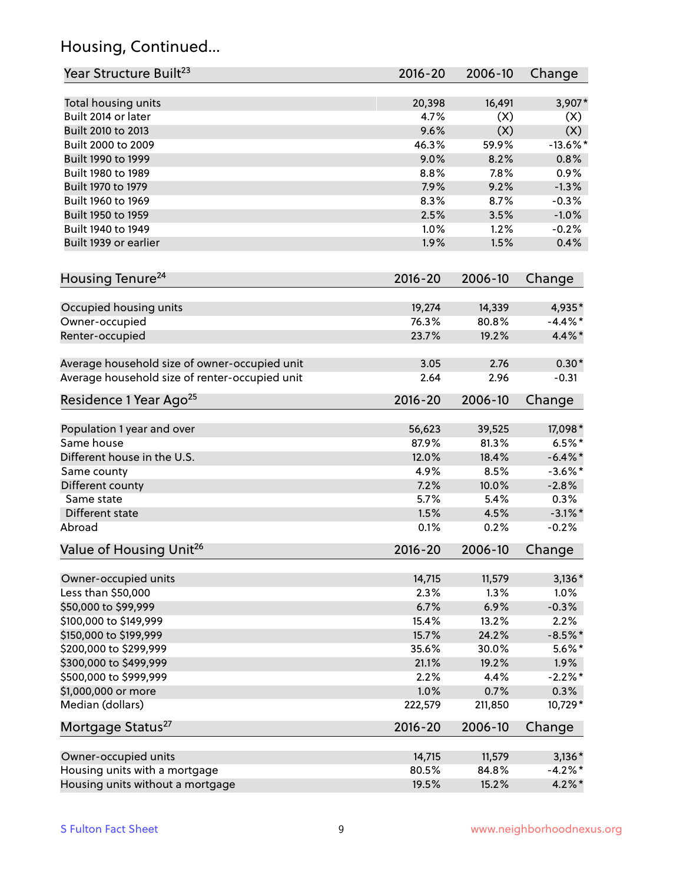## Housing, Continued...

| Year Structure Built <sup>23</sup>             | 2016-20     | 2006-10 | Change      |
|------------------------------------------------|-------------|---------|-------------|
| Total housing units                            | 20,398      | 16,491  | $3,907*$    |
| Built 2014 or later                            | 4.7%        | (X)     | (X)         |
| Built 2010 to 2013                             | 9.6%        | (X)     | (X)         |
| Built 2000 to 2009                             | 46.3%       | 59.9%   | $-13.6\%$ * |
| Built 1990 to 1999                             | 9.0%        | 8.2%    | 0.8%        |
| Built 1980 to 1989                             | 8.8%        | 7.8%    | 0.9%        |
| Built 1970 to 1979                             | 7.9%        | 9.2%    | $-1.3%$     |
| Built 1960 to 1969                             | 8.3%        | 8.7%    | $-0.3%$     |
| Built 1950 to 1959                             | 2.5%        | 3.5%    | $-1.0%$     |
| Built 1940 to 1949                             | 1.0%        | 1.2%    | $-0.2%$     |
| Built 1939 or earlier                          | 1.9%        | 1.5%    | 0.4%        |
|                                                |             |         |             |
| Housing Tenure <sup>24</sup>                   | $2016 - 20$ | 2006-10 | Change      |
| Occupied housing units                         | 19,274      | 14,339  | 4,935*      |
| Owner-occupied                                 | 76.3%       | 80.8%   | $-4.4\%$ *  |
| Renter-occupied                                | 23.7%       | 19.2%   | 4.4%*       |
|                                                |             |         |             |
| Average household size of owner-occupied unit  | 3.05        | 2.76    | $0.30*$     |
| Average household size of renter-occupied unit | 2.64        | 2.96    | $-0.31$     |
| Residence 1 Year Ago <sup>25</sup>             | $2016 - 20$ | 2006-10 | Change      |
|                                                |             |         |             |
| Population 1 year and over                     | 56,623      | 39,525  | 17,098*     |
| Same house                                     | 87.9%       | 81.3%   | $6.5%$ *    |
| Different house in the U.S.                    | 12.0%       | 18.4%   | $-6.4\%$ *  |
| Same county                                    | 4.9%        | 8.5%    | $-3.6\%$ *  |
| Different county                               | 7.2%        | 10.0%   | $-2.8%$     |
| Same state                                     | 5.7%        | 5.4%    | 0.3%        |
| Different state                                | 1.5%        | 4.5%    | $-3.1\%$ *  |
| Abroad                                         | 0.1%        | 0.2%    | $-0.2%$     |
| Value of Housing Unit <sup>26</sup>            | 2016-20     | 2006-10 | Change      |
| Owner-occupied units                           | 14,715      | 11,579  | $3,136*$    |
| Less than \$50,000                             | 2.3%        | 1.3%    | 1.0%        |
| \$50,000 to \$99,999                           | 6.7%        | 6.9%    | $-0.3%$     |
| \$100,000 to \$149,999                         | 15.4%       | 13.2%   | 2.2%        |
| \$150,000 to \$199,999                         | 15.7%       | 24.2%   | $-8.5\%$ *  |
| \$200,000 to \$299,999                         |             | 30.0%   | $5.6\%$ *   |
| \$300,000 to \$499,999                         | 35.6%       |         |             |
|                                                | 21.1%       | 19.2%   | 1.9%        |
| \$500,000 to \$999,999                         | 2.2%        | 4.4%    | $-2.2\%$ *  |
| \$1,000,000 or more                            | 1.0%        | 0.7%    | 0.3%        |
| Median (dollars)                               | 222,579     | 211,850 | 10,729*     |
| Mortgage Status <sup>27</sup>                  | $2016 - 20$ | 2006-10 | Change      |
| Owner-occupied units                           | 14,715      | 11,579  | $3,136*$    |
| Housing units with a mortgage                  | 80.5%       | 84.8%   | $-4.2\%$ *  |
| Housing units without a mortgage               | 19.5%       | 15.2%   | $4.2\%$ *   |
|                                                |             |         |             |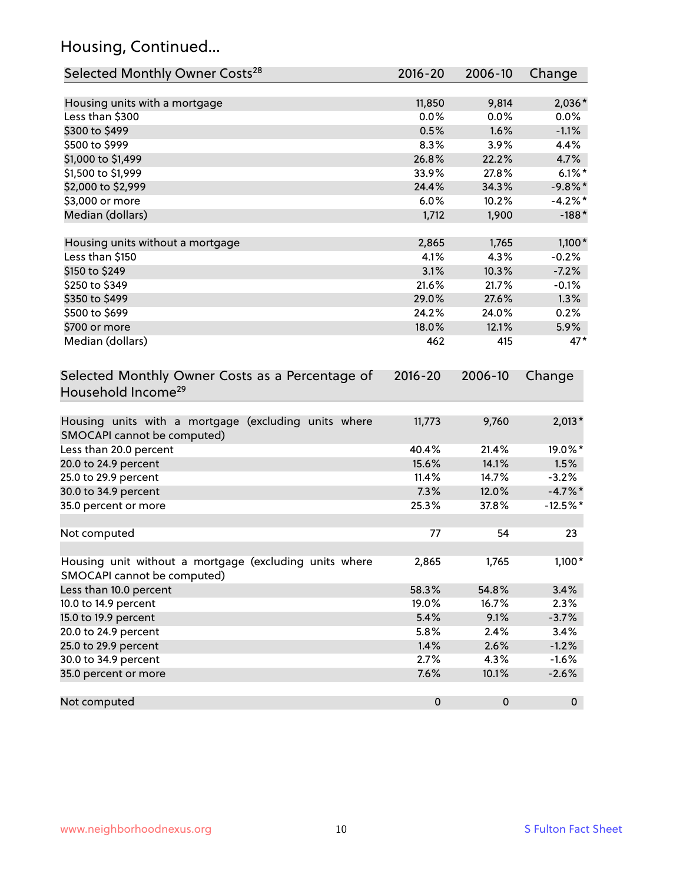## Housing, Continued...

| Selected Monthly Owner Costs <sup>28</sup>                                            | 2016-20     | 2006-10 | Change      |
|---------------------------------------------------------------------------------------|-------------|---------|-------------|
| Housing units with a mortgage                                                         | 11,850      | 9,814   | 2,036*      |
| Less than \$300                                                                       | 0.0%        | 0.0%    | 0.0%        |
| \$300 to \$499                                                                        | 0.5%        | 1.6%    | $-1.1%$     |
| \$500 to \$999                                                                        | 8.3%        | 3.9%    | 4.4%        |
| \$1,000 to \$1,499                                                                    | 26.8%       | 22.2%   | 4.7%        |
| \$1,500 to \$1,999                                                                    | 33.9%       | 27.8%   | $6.1\%$ *   |
| \$2,000 to \$2,999                                                                    | 24.4%       | 34.3%   | $-9.8\%$ *  |
| \$3,000 or more                                                                       | 6.0%        | 10.2%   | $-4.2\%$ *  |
| Median (dollars)                                                                      | 1,712       | 1,900   | $-188*$     |
| Housing units without a mortgage                                                      | 2,865       | 1,765   | $1,100*$    |
| Less than \$150                                                                       | 4.1%        | 4.3%    | $-0.2%$     |
| \$150 to \$249                                                                        | 3.1%        | 10.3%   | $-7.2%$     |
| \$250 to \$349                                                                        | 21.6%       | 21.7%   | $-0.1%$     |
| \$350 to \$499                                                                        | 29.0%       | 27.6%   | 1.3%        |
| \$500 to \$699                                                                        | 24.2%       | 24.0%   | 0.2%        |
| \$700 or more                                                                         | 18.0%       | 12.1%   | 5.9%        |
| Median (dollars)                                                                      | 462         | 415     | $47*$       |
| Selected Monthly Owner Costs as a Percentage of<br>Household Income <sup>29</sup>     | $2016 - 20$ | 2006-10 | Change      |
| Housing units with a mortgage (excluding units where<br>SMOCAPI cannot be computed)   | 11,773      | 9,760   | $2,013*$    |
| Less than 20.0 percent                                                                | 40.4%       | 21.4%   | 19.0%*      |
| 20.0 to 24.9 percent                                                                  | 15.6%       | 14.1%   | 1.5%        |
| 25.0 to 29.9 percent                                                                  | 11.4%       | 14.7%   | $-3.2%$     |
| 30.0 to 34.9 percent                                                                  | 7.3%        | 12.0%   | $-4.7\%$ *  |
| 35.0 percent or more                                                                  | 25.3%       | 37.8%   | $-12.5%$ *  |
| Not computed                                                                          | 77          | 54      | 23          |
| Housing unit without a mortgage (excluding units where<br>SMOCAPI cannot be computed) | 2,865       | 1,765   | 1,100*      |
| Less than 10.0 percent                                                                | 58.3%       | 54.8%   | 3.4%        |
| 10.0 to 14.9 percent                                                                  | 19.0%       | 16.7%   | 2.3%        |
| 15.0 to 19.9 percent                                                                  | 5.4%        | 9.1%    | $-3.7%$     |
| 20.0 to 24.9 percent                                                                  | 5.8%        | 2.4%    | 3.4%        |
| 25.0 to 29.9 percent                                                                  | 1.4%        | 2.6%    | $-1.2%$     |
| 30.0 to 34.9 percent                                                                  | 2.7%        | 4.3%    | $-1.6%$     |
| 35.0 percent or more                                                                  | 7.6%        | 10.1%   | $-2.6%$     |
| Not computed                                                                          | $\pmb{0}$   | 0       | $\mathbf 0$ |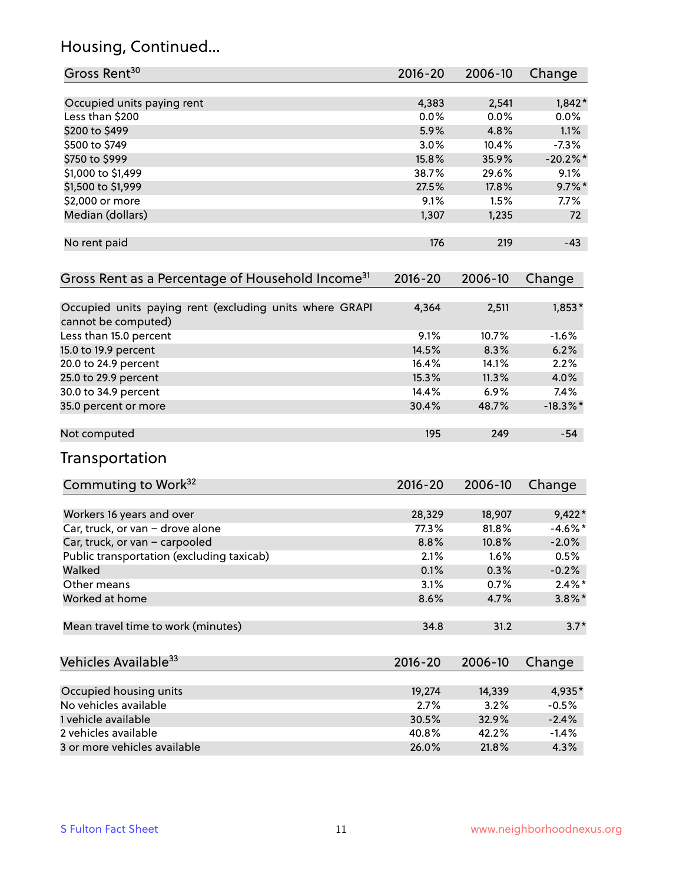## Housing, Continued...

| Gross Rent <sup>30</sup>                                                       | 2016-20     | 2006-10 | Change      |
|--------------------------------------------------------------------------------|-------------|---------|-------------|
|                                                                                |             |         |             |
| Occupied units paying rent                                                     | 4,383       | 2,541   | $1,842*$    |
| Less than \$200                                                                | 0.0%        | 0.0%    | $0.0\%$     |
| \$200 to \$499                                                                 | 5.9%        | 4.8%    | 1.1%        |
| \$500 to \$749                                                                 | 3.0%        | 10.4%   | $-7.3%$     |
| \$750 to \$999                                                                 | 15.8%       | 35.9%   | $-20.2%$    |
| \$1,000 to \$1,499                                                             | 38.7%       | 29.6%   | 9.1%        |
| \$1,500 to \$1,999                                                             | 27.5%       | 17.8%   | $9.7\%$ *   |
| \$2,000 or more                                                                | 9.1%        | 1.5%    | 7.7%        |
| Median (dollars)                                                               | 1,307       | 1,235   | 72          |
| No rent paid                                                                   | 176         | 219     | $-43$       |
| Gross Rent as a Percentage of Household Income <sup>31</sup>                   | 2016-20     | 2006-10 | Change      |
| Occupied units paying rent (excluding units where GRAPI<br>cannot be computed) | 4,364       | 2,511   | $1,853*$    |
| Less than 15.0 percent                                                         | 9.1%        | 10.7%   | $-1.6%$     |
| 15.0 to 19.9 percent                                                           | 14.5%       | 8.3%    | 6.2%        |
| 20.0 to 24.9 percent                                                           | 16.4%       | 14.1%   | 2.2%        |
| 25.0 to 29.9 percent                                                           | 15.3%       | 11.3%   | 4.0%        |
| 30.0 to 34.9 percent                                                           | 14.4%       | 6.9%    | 7.4%        |
| 35.0 percent or more                                                           | 30.4%       | 48.7%   | $-18.3\%$ * |
| Not computed                                                                   | 195         | 249     | $-54$       |
| Transportation                                                                 |             |         |             |
| Commuting to Work <sup>32</sup>                                                | 2016-20     | 2006-10 | Change      |
| Workers 16 years and over                                                      | 28,329      | 18,907  | $9,422*$    |
| Car, truck, or van - drove alone                                               | 77.3%       | 81.8%   | $-4.6%$ *   |
| Car, truck, or van - carpooled                                                 | 8.8%        | 10.8%   | $-2.0%$     |
| Public transportation (excluding taxicab)                                      | 2.1%        | 1.6%    | 0.5%        |
| Walked                                                                         | 0.1%        | 0.3%    | $-0.2%$     |
| Other means                                                                    | 3.1%        | 0.7%    | $2.4\%$ *   |
| Worked at home                                                                 | 8.6%        | 4.7%    | $3.8\%$ *   |
| Mean travel time to work (minutes)                                             | 34.8        | 31.2    | $3.7*$      |
| Vehicles Available <sup>33</sup>                                               | $2016 - 20$ | 2006-10 | Change      |
| Occupied housing units                                                         | 19,274      | 14,339  | 4,935*      |
| No vehicles available                                                          | 2.7%        | 3.2%    | $-0.5%$     |
| 1 vehicle available                                                            | 30.5%       | 32.9%   | $-2.4%$     |
| 2 vehicles available                                                           | 40.8%       | 42.2%   | $-1.4%$     |
| 3 or more vehicles available                                                   | 26.0%       | 21.8%   | 4.3%        |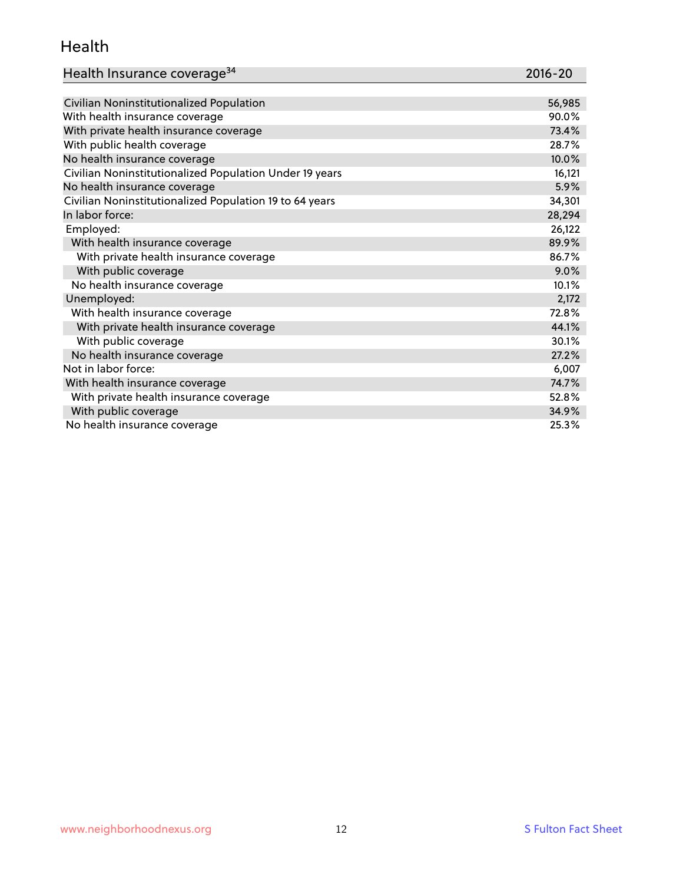#### Health

| Health Insurance coverage <sup>34</sup> | 2016-20 |
|-----------------------------------------|---------|
|-----------------------------------------|---------|

| Civilian Noninstitutionalized Population                | 56,985 |
|---------------------------------------------------------|--------|
| With health insurance coverage                          | 90.0%  |
| With private health insurance coverage                  | 73.4%  |
| With public health coverage                             | 28.7%  |
| No health insurance coverage                            | 10.0%  |
| Civilian Noninstitutionalized Population Under 19 years | 16,121 |
| No health insurance coverage                            | 5.9%   |
| Civilian Noninstitutionalized Population 19 to 64 years | 34,301 |
| In labor force:                                         | 28,294 |
| Employed:                                               | 26,122 |
| With health insurance coverage                          | 89.9%  |
| With private health insurance coverage                  | 86.7%  |
| With public coverage                                    | 9.0%   |
| No health insurance coverage                            | 10.1%  |
| Unemployed:                                             | 2,172  |
| With health insurance coverage                          | 72.8%  |
| With private health insurance coverage                  | 44.1%  |
| With public coverage                                    | 30.1%  |
| No health insurance coverage                            | 27.2%  |
| Not in labor force:                                     | 6,007  |
| With health insurance coverage                          | 74.7%  |
| With private health insurance coverage                  | 52.8%  |
| With public coverage                                    | 34.9%  |
| No health insurance coverage                            | 25.3%  |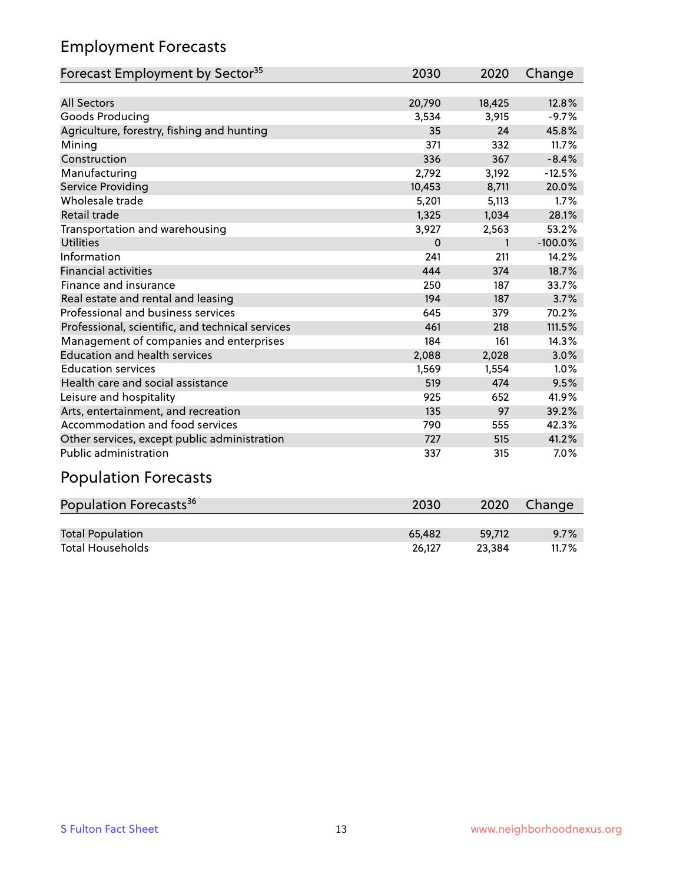## Employment Forecasts

| Forecast Employment by Sector <sup>35</sup>      | 2030     | 2020   | Change    |
|--------------------------------------------------|----------|--------|-----------|
|                                                  |          |        |           |
| <b>All Sectors</b>                               | 20,790   | 18,425 | 12.8%     |
| Goods Producing                                  | 3,534    | 3,915  | $-9.7%$   |
| Agriculture, forestry, fishing and hunting       | 35       | 24     | 45.8%     |
| Mining                                           | 371      | 332    | 11.7%     |
| Construction                                     | 336      | 367    | $-8.4%$   |
| Manufacturing                                    | 2,792    | 3,192  | $-12.5%$  |
| Service Providing                                | 10,453   | 8,711  | 20.0%     |
| Wholesale trade                                  | 5,201    | 5,113  | 1.7%      |
| Retail trade                                     | 1,325    | 1,034  | 28.1%     |
| Transportation and warehousing                   | 3,927    | 2,563  | 53.2%     |
| <b>Utilities</b>                                 | $\Omega$ | 1      | $-100.0%$ |
| Information                                      | 241      | 211    | 14.2%     |
| <b>Financial activities</b>                      | 444      | 374    | 18.7%     |
| Finance and insurance                            | 250      | 187    | 33.7%     |
| Real estate and rental and leasing               | 194      | 187    | 3.7%      |
| Professional and business services               | 645      | 379    | 70.2%     |
| Professional, scientific, and technical services | 461      | 218    | 111.5%    |
| Management of companies and enterprises          | 184      | 161    | 14.3%     |
| <b>Education and health services</b>             | 2,088    | 2,028  | 3.0%      |
| <b>Education services</b>                        | 1,569    | 1,554  | 1.0%      |
| Health care and social assistance                | 519      | 474    | 9.5%      |
| Leisure and hospitality                          | 925      | 652    | 41.9%     |
| Arts, entertainment, and recreation              | 135      | 97     | 39.2%     |
| Accommodation and food services                  | 790      | 555    | 42.3%     |
| Other services, except public administration     | 727      | 515    | 41.2%     |
| <b>Public administration</b>                     | 337      | 315    | $7.0\%$   |

## Population Forecasts

| Population Forecasts <sup>36</sup> | 2030   | 2020   | Change |
|------------------------------------|--------|--------|--------|
|                                    |        |        |        |
| <b>Total Population</b>            | 65.482 | 59.712 | 9.7%   |
| <b>Total Households</b>            | 26.127 | 23.384 | 11.7%  |